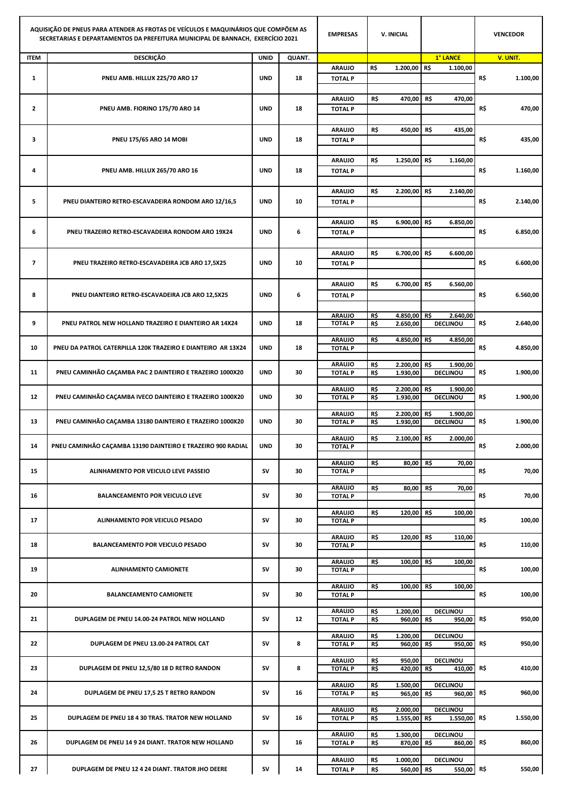| AQUISIÇÃO DE PNEUS PARA ATENDER AS FROTAS DE VEÍCULOS E MAQUINÁRIOS QUE COMPÕEM AS<br>SECRETARIAS E DEPARTAMENTOS DA PREFEITURA MUNICIPAL DE BANNACH, EXERCÍCIO 2021 |                                                              |             | <b>EMPRESAS</b> | <b>V. INICIAL</b>               |            |              |                                    | <b>VENCEDOR</b> |          |
|----------------------------------------------------------------------------------------------------------------------------------------------------------------------|--------------------------------------------------------------|-------------|-----------------|---------------------------------|------------|--------------|------------------------------------|-----------------|----------|
| <b>ITEM</b>                                                                                                                                                          | <b>DESCRIÇÃO</b>                                             | <b>UNID</b> | QUANT.          |                                 |            |              | 1° LANCE                           |                 | V. UNIT. |
|                                                                                                                                                                      |                                                              |             |                 | <b>ARAUJO</b>                   | R\$        | 1.200,00 R\$ | 1.100,00                           |                 |          |
| $\mathbf{1}$                                                                                                                                                         | PNEU AMB. HILLUX 225/70 ARO 17                               | <b>UND</b>  | 18              | <b>TOTAL P</b>                  |            |              |                                    | R\$             | 1.100,00 |
|                                                                                                                                                                      |                                                              |             |                 | <b>ARAUJO</b>                   | R\$        | 470,00       | R\$<br>470,00                      |                 |          |
| $\mathbf{2}$                                                                                                                                                         | PNEU AMB. FIORINO 175/70 ARO 14                              | <b>UND</b>  | 18              | <b>TOTAL P</b>                  |            |              |                                    | R\$             | 470,00   |
|                                                                                                                                                                      |                                                              |             |                 |                                 |            |              |                                    |                 |          |
| з                                                                                                                                                                    | <b>PNEU 175/65 ARO 14 MOBI</b>                               | <b>UND</b>  | 18              | <b>ARAUJO</b><br><b>TOTAL P</b> | R\$        | 450,00       | R\$<br>435,00                      | R\$             | 435,00   |
|                                                                                                                                                                      |                                                              |             |                 |                                 |            |              |                                    |                 |          |
|                                                                                                                                                                      |                                                              |             |                 | <b>ARAUJO</b>                   | R\$        | 1.250,00     | R\$<br>1.160,00                    |                 |          |
| 4                                                                                                                                                                    | PNEU AMB. HILLUX 265/70 ARO 16                               | <b>UND</b>  | 18              | <b>TOTAL P</b>                  |            |              |                                    | R\$             | 1.160,00 |
|                                                                                                                                                                      |                                                              |             |                 |                                 |            |              |                                    |                 |          |
|                                                                                                                                                                      |                                                              |             |                 | <b>ARAUJO</b>                   | R\$        | 2.200,00     | R\$<br>2.140,00                    |                 |          |
| 5                                                                                                                                                                    | PNEU DIANTEIRO RETRO-ESCAVADEIRA RONDOM ARO 12/16,5          | <b>UND</b>  | 10              | <b>TOTAL P</b>                  |            |              |                                    | R\$             | 2.140,00 |
|                                                                                                                                                                      |                                                              |             |                 |                                 |            |              |                                    |                 |          |
|                                                                                                                                                                      |                                                              |             |                 | <b>ARAUJO</b>                   | R\$        | 6.900,00     | R\$<br>6.850,00                    |                 |          |
| 6                                                                                                                                                                    | PNEU TRAZEIRO RETRO-ESCAVADEIRA RONDOM ARO 19X24             | <b>UND</b>  | 6               | <b>TOTAL P</b>                  |            |              |                                    | R\$             | 6.850,00 |
|                                                                                                                                                                      |                                                              |             |                 | <b>ARAUJO</b>                   | R\$        | 6.700,00     | R\$<br>6.600,00                    |                 |          |
| $\overline{\phantom{a}}$                                                                                                                                             | PNEU TRAZEIRO RETRO-ESCAVADEIRA JCB ARO 17,5X25              | <b>UND</b>  | 10              | <b>TOTAL P</b>                  |            |              |                                    | R\$             | 6.600,00 |
|                                                                                                                                                                      |                                                              |             |                 |                                 |            |              |                                    |                 |          |
|                                                                                                                                                                      |                                                              |             |                 | <b>ARAUJO</b>                   | R\$        | 6.700,00     | R\$<br>6.560,00                    |                 |          |
| 8                                                                                                                                                                    | PNEU DIANTEIRO RETRO-ESCAVADEIRA JCB ARO 12,5X25             | <b>UND</b>  | 6               | <b>TOTAL P</b>                  |            |              |                                    | R\$             | 6.560,00 |
|                                                                                                                                                                      |                                                              |             |                 |                                 |            |              |                                    |                 |          |
|                                                                                                                                                                      |                                                              |             |                 | <b>ARAUJO</b>                   | R\$        | 4.850,00 R\$ | 2.640,00                           |                 |          |
| 9                                                                                                                                                                    | PNEU PATROL NEW HOLLAND TRAZEIRO E DIANTEIRO AR 14X24        | <b>UND</b>  | 18              | <b>TOTAL P</b>                  | R\$        | 2.650,00     | DECLINOU                           | R\$             | 2.640,00 |
|                                                                                                                                                                      |                                                              |             |                 |                                 |            |              |                                    |                 |          |
| 10                                                                                                                                                                   | PNEU DA PATROL CATERPILLA 120K TRAZEIRO E DIANTEIRO AR 13X24 | <b>UND</b>  | 18              | <b>ARAUJO</b><br><b>TOTAL P</b> | R\$        | 4.850,00 R\$ | 4.850,00                           | R\$             | 4.850,00 |
|                                                                                                                                                                      |                                                              |             |                 |                                 |            |              |                                    |                 |          |
| 11                                                                                                                                                                   | PNEU CAMINHÃO CAÇAMBA PAC 2 DAINTEIRO E TRAZEIRO 1000X20     | <b>UND</b>  | 30              | <b>ARAUJO</b><br><b>TOTAL P</b> | R\$        | 2.200,00     | R\$<br>1.900,00<br><b>DECLINOU</b> | R\$             | 1.900,00 |
|                                                                                                                                                                      |                                                              |             |                 |                                 | R\$        | 1.930,00     |                                    |                 |          |
|                                                                                                                                                                      |                                                              |             |                 | <b>ARAUJO</b>                   | R\$        | 2.200,00     | R\$<br>1.900,00                    |                 |          |
| 12                                                                                                                                                                   | PNEU CAMINHÃO CAÇAMBA IVECO DAINTEIRO E TRAZEIRO 1000X20     | <b>UND</b>  | 30              | <b>TOTAL P</b>                  | R\$        | 1.930,00     | <b>DECLINOU</b>                    | R\$             | 1.900,00 |
|                                                                                                                                                                      |                                                              |             |                 | <b>ARAUJO</b>                   | R\$        | 2.200,00     | R\$<br>1.900,00                    |                 |          |
| 13                                                                                                                                                                   | PNEU CAMINHÃO CAÇAMBA 13180 DAINTEIRO E TRAZEIRO 1000X20     | <b>UND</b>  | 30              | <b>TOTAL P</b>                  | R\$        | 1.930,00     | <b>DECLINOU</b>                    | R\$             | 1.900,00 |
|                                                                                                                                                                      |                                                              |             |                 | <b>ARAUJO</b>                   | R\$        | 2.100,00 R\$ |                                    |                 |          |
| 14                                                                                                                                                                   | PNEU CAMINHÃO CAÇAMBA 13190 DAINTEIRO E TRAZEIRO 900 RADIAL  | <b>UND</b>  | 30              | <b>TOTAL P</b>                  |            |              | 2.000,00                           | R\$             | 2.000,00 |
|                                                                                                                                                                      |                                                              |             |                 |                                 |            |              |                                    |                 |          |
| 15                                                                                                                                                                   | ALINHAMENTO POR VEICULO LEVE PASSEIO                         | sv          | 30              | <b>ARAUJO</b><br><b>TOTAL P</b> | R\$        | 80,00        | R\$<br>70,00                       | R\$             | 70,00    |
|                                                                                                                                                                      |                                                              |             |                 |                                 |            |              |                                    |                 |          |
|                                                                                                                                                                      |                                                              |             |                 | <b>ARAUJO</b>                   | R\$        | 80,00        | R\$<br>70,00                       |                 |          |
| 16                                                                                                                                                                   | <b>BALANCEAMENTO POR VEICULO LEVE</b>                        | sv          | 30              | <b>TOTAL P</b>                  |            |              |                                    | R\$             | 70,00    |
|                                                                                                                                                                      |                                                              |             |                 | <b>ARAUJO</b>                   | R\$        | 120,00 R\$   | 100,00                             |                 |          |
| 17                                                                                                                                                                   | ALINHAMENTO POR VEICULO PESADO                               | sv          | 30              | <b>TOTAL P</b>                  |            |              |                                    | R\$             | 100,00   |
|                                                                                                                                                                      |                                                              |             |                 | <b>ARAUJO</b>                   | R\$        | 120,00       | 110,00<br>R\$                      |                 |          |
| 18                                                                                                                                                                   | <b>BALANCEAMENTO POR VEICULO PESADO</b>                      | sv          | 30              | <b>TOTAL P</b>                  |            |              |                                    | R\$             | 110,00   |
|                                                                                                                                                                      |                                                              |             |                 |                                 |            |              |                                    |                 |          |
| 19                                                                                                                                                                   | <b>ALINHAMENTO CAMIONETE</b>                                 | sv          | 30              | <b>ARAUJO</b><br><b>TOTAL P</b> | R\$        | 100,00       | R\$<br>100,00                      | R\$             | 100,00   |
|                                                                                                                                                                      |                                                              |             |                 |                                 |            |              |                                    |                 |          |
|                                                                                                                                                                      |                                                              |             |                 | <b>ARAUJO</b>                   | R\$        | 100,00 R\$   | 100,00                             |                 |          |
| 20                                                                                                                                                                   | <b>BALANCEAMENTO CAMIONETE</b>                               | sv          | 30              | <b>TOTAL P</b>                  |            |              |                                    | R\$             | 100,00   |
|                                                                                                                                                                      |                                                              |             |                 | <b>ARAUJO</b>                   | R\$        | 1.200,00     | <b>DECLINOU</b>                    |                 |          |
| 21                                                                                                                                                                   | DUPLAGEM DE PNEU 14.00-24 PATROL NEW HOLLAND                 | sv          | 12              | <b>TOTAL P</b>                  | R\$        | 960,00 R\$   | 950,00                             | R\$             | 950,00   |
|                                                                                                                                                                      |                                                              |             |                 | <b>ARAUJO</b>                   | R\$        | 1.200,00     | <b>DECLINOU</b>                    |                 |          |
| 22                                                                                                                                                                   | DUPLAGEM DE PNEU 13.00-24 PATROL CAT                         | sv          | 8               | <b>TOTAL P</b>                  | R\$        | 960,00 R\$   | 950,00                             | R\$             | 950,00   |
|                                                                                                                                                                      |                                                              |             |                 | <b>ARAUJO</b>                   | R\$        | 950,00       | <b>DECLINOU</b>                    |                 |          |
| 23                                                                                                                                                                   | DUPLAGEM DE PNEU 12,5/80 18 D RETRO RANDON                   | sv          | 8               | <b>TOTAL P</b>                  | R\$        | 420,00       | R\$<br>410,00                      | R\$             | 410,00   |
|                                                                                                                                                                      |                                                              |             |                 |                                 |            |              |                                    |                 |          |
| 24                                                                                                                                                                   | DUPLAGEM DE PNEU 17,5 25 T RETRO RANDON                      | sv          | 16              | <b>ARAUJO</b><br><b>TOTAL P</b> | R\$<br>R\$ | 1.500,00     | <b>DECLINOU</b><br>960,00          | R\$             | 960,00   |
|                                                                                                                                                                      |                                                              |             |                 |                                 |            | 965,00 R\$   |                                    |                 |          |
|                                                                                                                                                                      |                                                              |             |                 | <b>ARAUJO</b>                   | R\$        | 2.000,00     | <b>DECLINOU</b>                    |                 |          |
| 25                                                                                                                                                                   | DUPLAGEM DE PNEU 18 4 30 TRAS. TRATOR NEW HOLLAND            | sv          | 16              | <b>TOTAL P</b>                  | R\$        | 1.555,00 R\$ | 1.550,00                           | R\$             | 1.550,00 |
|                                                                                                                                                                      |                                                              |             |                 | <b>ARAUJO</b>                   | R\$        | 1.300,00     | <b>DECLINOU</b>                    |                 |          |
| 26                                                                                                                                                                   | DUPLAGEM DE PNEU 14 9 24 DIANT. TRATOR NEW HOLLAND           | sv          | 16              | <b>TOTAL P</b>                  | R\$        | 870,00 R\$   | 860,00                             | R\$             | 860,00   |
|                                                                                                                                                                      |                                                              |             |                 | <b>ARAUJO</b>                   | R\$        | 1.000,00     | <b>DECLINOU</b>                    |                 |          |
| 27                                                                                                                                                                   | DUPLAGEM DE PNEU 12 4 24 DIANT. TRATOR JHO DEERE             | sv          | 14              | <b>TOTAL P</b>                  | R\$        | 560,00 R\$   | 550,00                             | R\$             | 550,00   |
|                                                                                                                                                                      |                                                              |             |                 |                                 |            |              |                                    |                 |          |